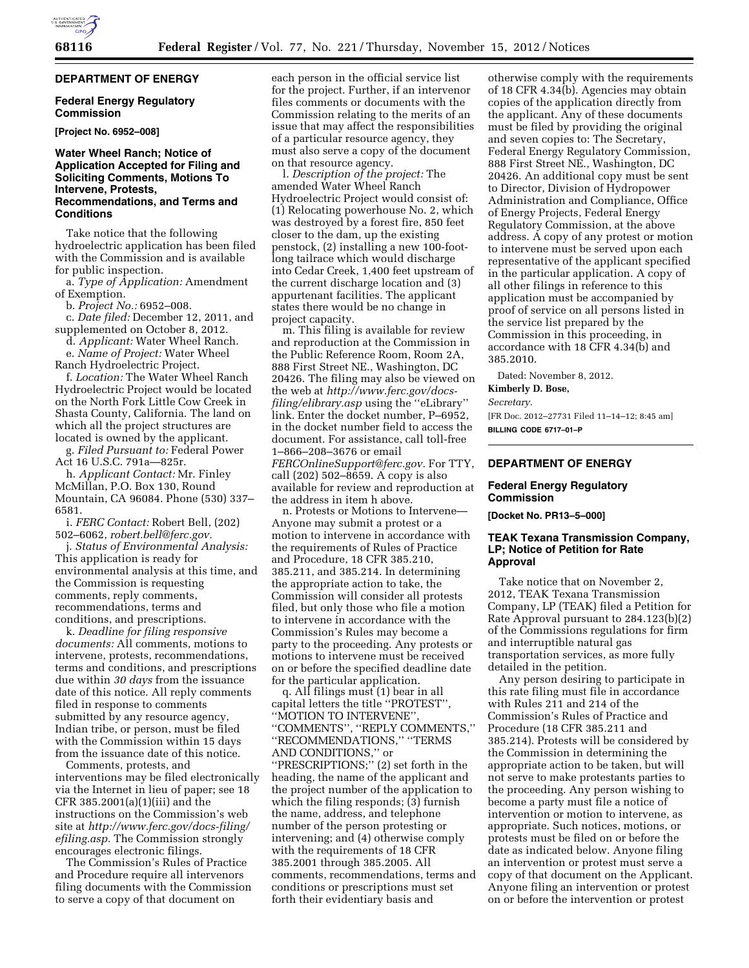### **DEPARTMENT OF ENERGY**

## **Federal Energy Regulatory Commission**

**[Project No. 6952–008]** 

## **Water Wheel Ranch; Notice of Application Accepted for Filing and Soliciting Comments, Motions To Intervene, Protests, Recommendations, and Terms and Conditions**

Take notice that the following hydroelectric application has been filed with the Commission and is available for public inspection.

a. *Type of Application:* Amendment of Exemption.

b. *Project No.:* 6952–008.

c. *Date filed:* December 12, 2011, and supplemented on October 8, 2012.

d. *Applicant:* Water Wheel Ranch.

e. *Name of Project:* Water Wheel

Ranch Hydroelectric Project.

f. *Location:* The Water Wheel Ranch Hydroelectric Project would be located on the North Fork Little Cow Creek in Shasta County, California. The land on which all the project structures are located is owned by the applicant.

g. *Filed Pursuant to:* Federal Power Act 16 U.S.C. 791a—825r.

h. *Applicant Contact:* Mr. Finley McMillan, P.O. Box 130, Round Mountain, CA 96084. Phone (530) 337– 6581.

i. *FERC Contact:* Robert Bell, (202) 502–6062, *[robert.bell@ferc.gov.](mailto:robert.bell@ferc.gov)* 

j. *Status of Environmental Analysis:*  This application is ready for environmental analysis at this time, and the Commission is requesting comments, reply comments, recommendations, terms and conditions, and prescriptions.

k. *Deadline for filing responsive documents:* All comments, motions to intervene, protests, recommendations, terms and conditions, and prescriptions due within *30 days* from the issuance date of this notice. All reply comments filed in response to comments submitted by any resource agency, Indian tribe, or person, must be filed with the Commission within 15 days from the issuance date of this notice.

Comments, protests, and interventions may be filed electronically via the Internet in lieu of paper; see 18 CFR 385.2001(a)(1)(iii) and the instructions on the Commission's web site at *[http://www.ferc.gov/docs-filing/](http://www.ferc.gov/docs-filing/efiling.asp) [efiling.asp.](http://www.ferc.gov/docs-filing/efiling.asp)* The Commission strongly encourages electronic filings.

The Commission's Rules of Practice and Procedure require all intervenors filing documents with the Commission to serve a copy of that document on

each person in the official service list for the project. Further, if an intervenor files comments or documents with the Commission relating to the merits of an issue that may affect the responsibilities of a particular resource agency, they must also serve a copy of the document on that resource agency.

l. *Description of the project:* The amended Water Wheel Ranch Hydroelectric Project would consist of: (1) Relocating powerhouse No. 2, which was destroyed by a forest fire, 850 feet closer to the dam, up the existing penstock, (2) installing a new 100-footlong tailrace which would discharge into Cedar Creek, 1,400 feet upstream of the current discharge location and (3) appurtenant facilities. The applicant states there would be no change in project capacity.

m. This filing is available for review and reproduction at the Commission in the Public Reference Room, Room 2A, 888 First Street NE., Washington, DC 20426. The filing may also be viewed on the web at *[http://www.ferc.gov/docs](http://www.ferc.gov/docs-filing/elibrary.asp)[filing/elibrary.asp](http://www.ferc.gov/docs-filing/elibrary.asp)* using the ''eLibrary'' link. Enter the docket number, P–6952, in the docket number field to access the document. For assistance, call toll-free 1–866–208–3676 or email *[FERCOnlineSupport@ferc.gov.](mailto:FERCOnlineSupport@ferc.gov)* For TTY, call (202) 502–8659. A copy is also available for review and reproduction at the address in item h above.

n. Protests or Motions to Intervene— Anyone may submit a protest or a motion to intervene in accordance with the requirements of Rules of Practice and Procedure, 18 CFR 385.210, 385.211, and 385.214. In determining the appropriate action to take, the Commission will consider all protests filed, but only those who file a motion to intervene in accordance with the Commission's Rules may become a party to the proceeding. Any protests or motions to intervene must be received on or before the specified deadline date for the particular application.

q. All filings must (1) bear in all capital letters the title ''PROTEST'', ''MOTION TO INTERVENE'', ''COMMENTS'', ''REPLY COMMENTS,'' ''RECOMMENDATIONS,'' ''TERMS AND CONDITIONS,'' or ''PRESCRIPTIONS;'' (2) set forth in the heading, the name of the applicant and the project number of the application to which the filing responds; (3) furnish the name, address, and telephone number of the person protesting or intervening; and (4) otherwise comply with the requirements of 18 CFR 385.2001 through 385.2005. All comments, recommendations, terms and conditions or prescriptions must set forth their evidentiary basis and

otherwise comply with the requirements of 18 CFR 4.34(b). Agencies may obtain copies of the application directly from the applicant. Any of these documents must be filed by providing the original and seven copies to: The Secretary, Federal Energy Regulatory Commission, 888 First Street NE., Washington, DC 20426. An additional copy must be sent to Director, Division of Hydropower Administration and Compliance, Office of Energy Projects, Federal Energy Regulatory Commission, at the above address. A copy of any protest or motion to intervene must be served upon each representative of the applicant specified in the particular application. A copy of all other filings in reference to this application must be accompanied by proof of service on all persons listed in the service list prepared by the Commission in this proceeding, in accordance with 18 CFR 4.34(b) and 385.2010.

Dated: November 8, 2012.

#### **Kimberly D. Bose,**

*Secretary.* 

[FR Doc. 2012–27731 Filed 11–14–12; 8:45 am] **BILLING CODE 6717–01–P** 

#### **DEPARTMENT OF ENERGY**

# **Federal Energy Regulatory Commission**

**[Docket No. PR13–5–000]** 

# **TEAK Texana Transmission Company, LP; Notice of Petition for Rate Approval**

Take notice that on November 2, 2012, TEAK Texana Transmission Company, LP (TEAK) filed a Petition for Rate Approval pursuant to 284.123(b)(2) of the Commissions regulations for firm and interruptible natural gas transportation services, as more fully detailed in the petition.

Any person desiring to participate in this rate filing must file in accordance with Rules 211 and 214 of the Commission's Rules of Practice and Procedure (18 CFR 385.211 and 385.214). Protests will be considered by the Commission in determining the appropriate action to be taken, but will not serve to make protestants parties to the proceeding. Any person wishing to become a party must file a notice of intervention or motion to intervene, as appropriate. Such notices, motions, or protests must be filed on or before the date as indicated below. Anyone filing an intervention or protest must serve a copy of that document on the Applicant. Anyone filing an intervention or protest on or before the intervention or protest